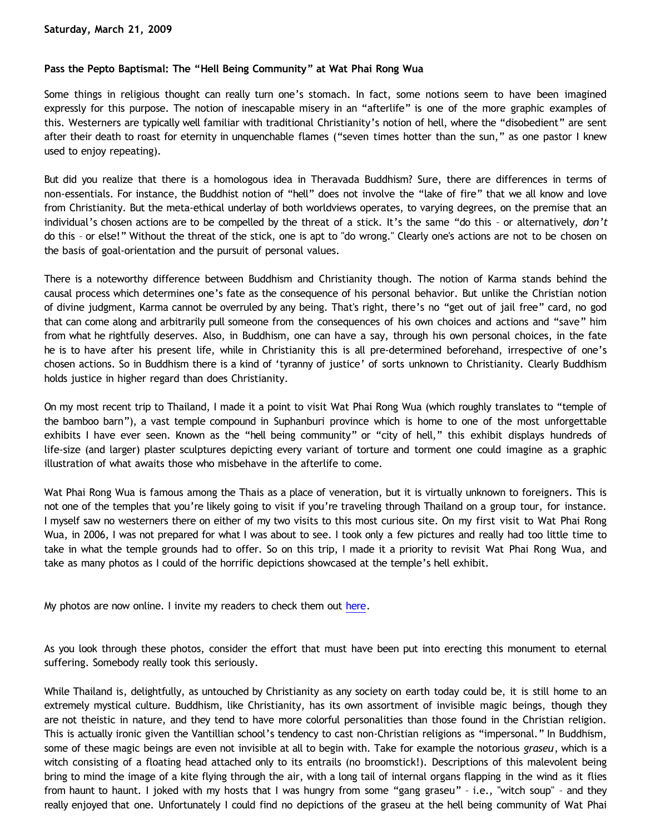# **Pass the Pepto Baptismal: The "Hell Being Community" at Wat Phai Rong Wua**

Some things in religious thought can really turn one's stomach. In fact, some notions seem to have been imagined expressly for this purpose. The notion of inescapable misery in an "afterlife" is one of the more graphic examples of this. Westerners are typically well familiar with traditional Christianity's notion of hell, where the "disobedient" are sent after their death to roast for eternity in unquenchable flames ("seven times hotter than the sun," as one pastor I knew used to enjoy repeating).

But did you realize that there is a homologous idea in Theravada Buddhism? Sure, there are differences in terms of non-essentials. For instance, the Buddhist notion of "hell" does not involve the "lake of fire" that we all know and love from Christianity. But the meta-ethical underlay of both worldviews operates, to varying degrees, on the premise that an individual's chosen actions are to be compelled by the threat of a stick. It's the same "do this – or alternatively, *don't* do this – or else!" Without the threat of the stick, one is apt to "do wrong." Clearly one's actions are not to be chosen on the basis of goal-orientation and the pursuit of personal values.

There is a noteworthy difference between Buddhism and Christianity though. The notion of Karma stands behind the causal process which determines one's fate as the consequence of his personal behavior. But unlike the Christian notion of divine judgment, Karma cannot be overruled by any being. That's right, there's no "get out of jail free" card, no god that can come along and arbitrarily pull someone from the consequences of his own choices and actions and "save" him from what he rightfully deserves. Also, in Buddhism, one can have a say, through his own personal choices, in the fate he is to have after his present life, while in Christianity this is all pre-determined beforehand, irrespective of one's chosen actions. So in Buddhism there is a kind of 'tyranny of justice' of sorts unknown to Christianity. Clearly Buddhism holds justice in higher regard than does Christianity.

On my most recent trip to Thailand, I made it a point to visit Wat Phai Rong Wua (which roughly translates to "temple of the bamboo barn"), a vast temple compound in Suphanburi province which is home to one of the most unforgettable exhibits I have ever seen. Known as the "hell being community" or "city of hell," this exhibit displays hundreds of life-size (and larger) plaster sculptures depicting every variant of torture and torment one could imagine as a graphic illustration of what awaits those who misbehave in the afterlife to come.

Wat Phai Rong Wua is famous among the Thais as a place of veneration, but it is virtually unknown to foreigners. This is not one of the temples that you're likely going to visit if you're traveling through Thailand on a group tour, for instance. I myself saw no westerners there on either of my two visits to this most curious site. On my first visit to Wat Phai Rong Wua, in 2006, I was not prepared for what I was about to see. I took only a few pictures and really had too little time to take in what the temple grounds had to offer. So on this trip, I made it a priority to revisit Wat Phai Rong Wua, and take as many photos as I could of the horrific depictions showcased at the temple's hell exhibit.

My photos are now online. I invite my readers to check them out [here](http://www.geocities.com/watphairongwua/Cursed_City.htm).

As you look through these photos, consider the effort that must have been put into erecting this monument to eternal suffering. Somebody really took this seriously.

While Thailand is, delightfully, as untouched by Christianity as any society on earth today could be, it is still home to an extremely mystical culture. Buddhism, like Christianity, has its own assortment of invisible magic beings, though they are not theistic in nature, and they tend to have more colorful personalities than those found in the Christian religion. This is actually ironic given the Vantillian school's tendency to cast non-Christian religions as "impersonal." In Buddhism, some of these magic beings are even not invisible at all to begin with. Take for example the notorious *graseu*, which is a witch consisting of a floating head attached only to its entrails (no broomstick!). Descriptions of this malevolent being bring to mind the image of a kite flying through the air, with a long tail of internal organs flapping in the wind as it flies from haunt to haunt. I joked with my hosts that I was hungry from some "gang graseu" – i.e., "witch soup" – and they really enjoyed that one. Unfortunately I could find no depictions of the graseu at the hell being community of Wat Phai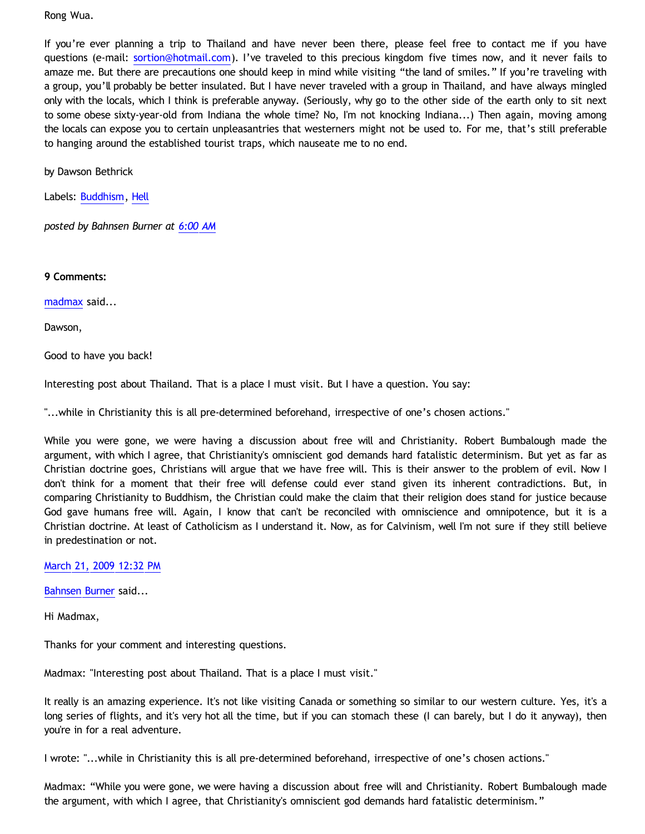Rong Wua.

If you're ever planning a trip to Thailand and have never been there, please feel free to contact me if you have questions (e-mail: [sortion@hotmail.com\)](mailto:sortion@hotmail.com). I've traveled to this precious kingdom five times now, and it never fails to amaze me. But there are precautions one should keep in mind while visiting "the land of smiles." If you're traveling with a group, you'll probably be better insulated. But I have never traveled with a group in Thailand, and have always mingled only with the locals, which I think is preferable anyway. (Seriously, why go to the other side of the earth only to sit next to some obese sixty-year-old from Indiana the whole time? No, I'm not knocking Indiana...) Then again, moving among the locals can expose you to certain unpleasantries that westerners might not be used to. For me, that's still preferable to hanging around the established tourist traps, which nauseate me to no end.

by Dawson Bethrick

Labels: [Buddhism](http://bahnsenburner.blogspot.com/search/label/Buddhism), [Hell](http://bahnsenburner.blogspot.com/search/label/Hell)

*posted by Bahnsen Burner at [6:00 AM](http://bahnsenburner.blogspot.com/2009/03/pass-pepto-baptismal-hell-being.html)*

**9 Comments:**

[madmax](http://www.blogger.com/profile/14375140131881725965) said...

Dawson,

Good to have you back!

Interesting post about Thailand. That is a place I must visit. But I have a question. You say:

"...while in Christianity this is all pre-determined beforehand, irrespective of one's chosen actions."

While you were gone, we were having a discussion about free will and Christianity. Robert Bumbalough made the argument, with which I agree, that Christianity's omniscient god demands hard fatalistic determinism. But yet as far as Christian doctrine goes, Christians will argue that we have free will. This is their answer to the problem of evil. Now I don't think for a moment that their free will defense could ever stand given its inherent contradictions. But, in comparing Christianity to Buddhism, the Christian could make the claim that their religion does stand for justice because God gave humans free will. Again, I know that can't be reconciled with omniscience and omnipotence, but it is a Christian doctrine. At least of Catholicism as I understand it. Now, as for Calvinism, well I'm not sure if they still believe in predestination or not.

[March 21, 2009 12:32 PM](http://bahnsenburner.blogspot.com/2009/03/6314984941299637953)

[Bahnsen Burner](http://www.blogger.com/profile/11030029491768748360) said...

Hi Madmax,

Thanks for your comment and interesting questions.

Madmax: "Interesting post about Thailand. That is a place I must visit."

It really is an amazing experience. It's not like visiting Canada or something so similar to our western culture. Yes, it's a long series of flights, and it's very hot all the time, but if you can stomach these (I can barely, but I do it anyway), then you're in for a real adventure.

I wrote: "...while in Christianity this is all pre-determined beforehand, irrespective of one's chosen actions."

Madmax: "While you were gone, we were having a discussion about free will and Christianity. Robert Bumbalough made the argument, with which I agree, that Christianity's omniscient god demands hard fatalistic determinism."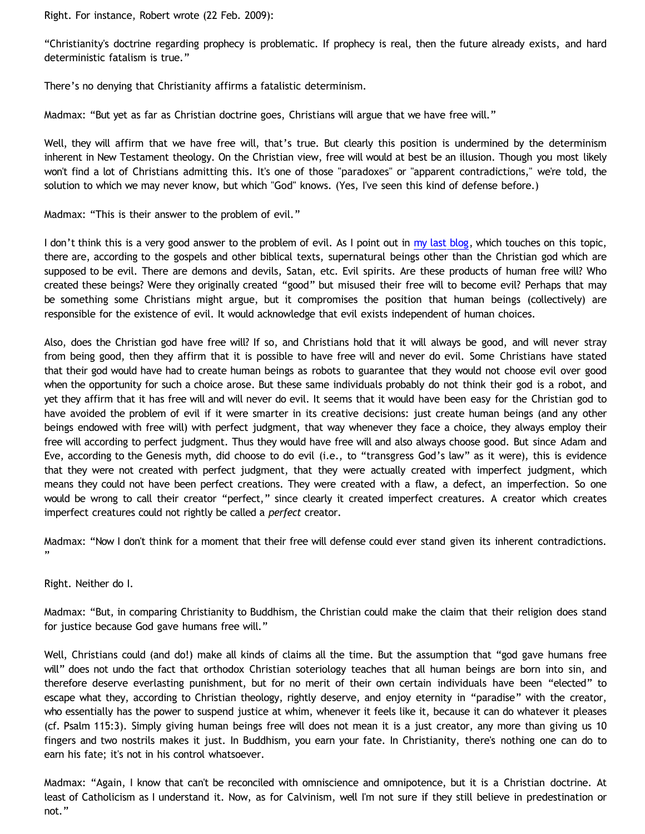Right. For instance, Robert wrote (22 Feb. 2009):

"Christianity's doctrine regarding prophecy is problematic. If prophecy is real, then the future already exists, and hard deterministic fatalism is true."

There's no denying that Christianity affirms a fatalistic determinism.

Madmax: "But yet as far as Christian doctrine goes, Christians will argue that we have free will."

Well, they will affirm that we have free will, that's true. But clearly this position is undermined by the determinism inherent in New Testament theology. On the Christian view, free will would at best be an illusion. Though you most likely won't find a lot of Christians admitting this. It's one of those "paradoxes" or "apparent contradictions," we're told, the solution to which we may never know, but which "God" knows. (Yes, I've seen this kind of defense before.)

Madmax: "This is their answer to the problem of evil."

I don't think this is a very good answer to the problem of evil. As I point out in [my last blog,](http://bahnsenburner.blogspot.com/2009/03/was-adam-created-perfect.html) which touches on this topic, there are, according to the gospels and other biblical texts, supernatural beings other than the Christian god which are supposed to be evil. There are demons and devils, Satan, etc. Evil spirits. Are these products of human free will? Who created these beings? Were they originally created "good" but misused their free will to become evil? Perhaps that may be something some Christians might argue, but it compromises the position that human beings (collectively) are responsible for the existence of evil. It would acknowledge that evil exists independent of human choices.

Also, does the Christian god have free will? If so, and Christians hold that it will always be good, and will never stray from being good, then they affirm that it is possible to have free will and never do evil. Some Christians have stated that their god would have had to create human beings as robots to guarantee that they would not choose evil over good when the opportunity for such a choice arose. But these same individuals probably do not think their god is a robot, and yet they affirm that it has free will and will never do evil. It seems that it would have been easy for the Christian god to have avoided the problem of evil if it were smarter in its creative decisions: just create human beings (and any other beings endowed with free will) with perfect judgment, that way whenever they face a choice, they always employ their free will according to perfect judgment. Thus they would have free will and also always choose good. But since Adam and Eve, according to the Genesis myth, did choose to do evil (i.e., to "transgress God's law" as it were), this is evidence that they were not created with perfect judgment, that they were actually created with imperfect judgment, which means they could not have been perfect creations. They were created with a flaw, a defect, an imperfection. So one would be wrong to call their creator "perfect," since clearly it created imperfect creatures. A creator which creates imperfect creatures could not rightly be called a *perfect* creator.

Madmax: "Now I don't think for a moment that their free will defense could ever stand given its inherent contradictions. "

Right. Neither do I.

Madmax: "But, in comparing Christianity to Buddhism, the Christian could make the claim that their religion does stand for justice because God gave humans free will."

Well, Christians could (and do!) make all kinds of claims all the time. But the assumption that "god gave humans free will" does not undo the fact that orthodox Christian soteriology teaches that all human beings are born into sin, and therefore deserve everlasting punishment, but for no merit of their own certain individuals have been "elected" to escape what they, according to Christian theology, rightly deserve, and enjoy eternity in "paradise" with the creator, who essentially has the power to suspend justice at whim, whenever it feels like it, because it can do whatever it pleases (cf. Psalm 115:3). Simply giving human beings free will does not mean it is a just creator, any more than giving us 10 fingers and two nostrils makes it just. In Buddhism, you earn your fate. In Christianity, there's nothing one can do to earn his fate; it's not in his control whatsoever.

Madmax: "Again, I know that can't be reconciled with omniscience and omnipotence, but it is a Christian doctrine. At least of Catholicism as I understand it. Now, as for Calvinism, well I'm not sure if they still believe in predestination or not."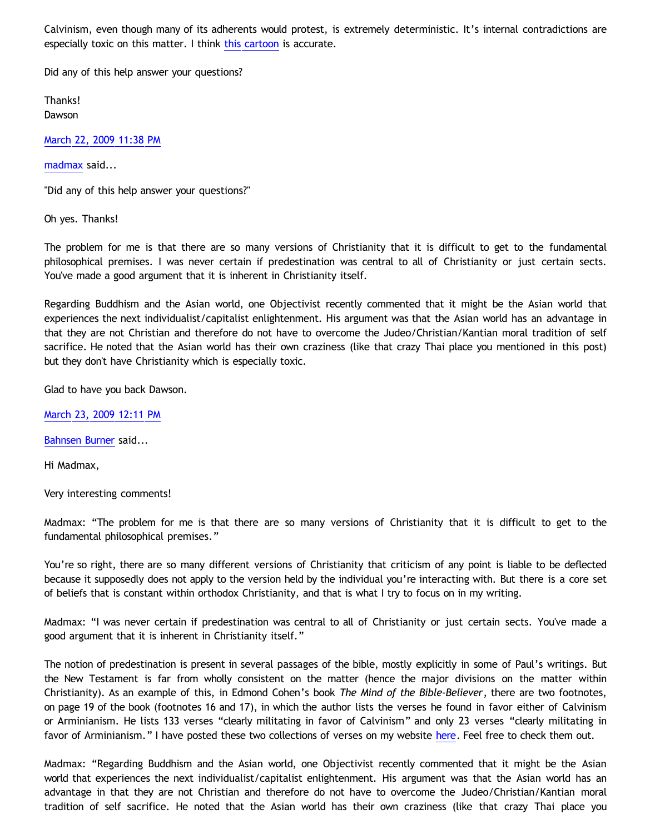Calvinism, even though many of its adherents would protest, is extremely deterministic. It's internal contradictions are especially toxic on this matter. I think [this cartoon](http://1.bp.blogspot.com/_V452Ll6JHAE/Sb5SkDrA13I/AAAAAAAAAUE/9KBkqbPJ8yA/s1600-h/therules.jpg) is accurate.

Did any of this help answer your questions?

Thanks! Dawson

[March 22, 2009 11:38 PM](http://bahnsenburner.blogspot.com/2009/03/7556925039581412832)

[madmax](http://www.blogger.com/profile/14375140131881725965) said...

"Did any of this help answer your questions?"

Oh yes. Thanks!

The problem for me is that there are so many versions of Christianity that it is difficult to get to the fundamental philosophical premises. I was never certain if predestination was central to all of Christianity or just certain sects. You've made a good argument that it is inherent in Christianity itself.

Regarding Buddhism and the Asian world, one Objectivist recently commented that it might be the Asian world that experiences the next individualist/capitalist enlightenment. His argument was that the Asian world has an advantage in that they are not Christian and therefore do not have to overcome the Judeo/Christian/Kantian moral tradition of self sacrifice. He noted that the Asian world has their own craziness (like that crazy Thai place you mentioned in this post) but they don't have Christianity which is especially toxic.

Glad to have you back Dawson.

[March 23, 2009 12:11 PM](http://bahnsenburner.blogspot.com/2009/03/8482147927881773183)

[Bahnsen Burner](http://www.blogger.com/profile/11030029491768748360) said...

Hi Madmax,

Very interesting comments!

Madmax: "The problem for me is that there are so many versions of Christianity that it is difficult to get to the fundamental philosophical premises."

You're so right, there are so many different versions of Christianity that criticism of any point is liable to be deflected because it supposedly does not apply to the version held by the individual you're interacting with. But there is a core set of beliefs that is constant within orthodox Christianity, and that is what I try to focus on in my writing.

Madmax: "I was never certain if predestination was central to all of Christianity or just certain sects. You've made a good argument that it is inherent in Christianity itself."

The notion of predestination is present in several passages of the bible, mostly explicitly in some of Paul's writings. But the New Testament is far from wholly consistent on the matter (hence the major divisions on the matter within Christianity). As an example of this, in Edmond Cohen's book *The Mind of the Bible-Believer*, there are two footnotes, on page 19 of the book (footnotes 16 and 17), in which the author lists the verses he found in favor either of Calvinism or Arminianism. He lists 133 verses "clearly militating in favor of Calvinism" and only 23 verses "clearly militating in favor of Arminianism." I have posted these two collections of verses on my website [here.](http://www.geocities.com/katholon/Cal_Arm.htm) Feel free to check them out.

Madmax: "Regarding Buddhism and the Asian world, one Objectivist recently commented that it might be the Asian world that experiences the next individualist/capitalist enlightenment. His argument was that the Asian world has an advantage in that they are not Christian and therefore do not have to overcome the Judeo/Christian/Kantian moral tradition of self sacrifice. He noted that the Asian world has their own craziness (like that crazy Thai place you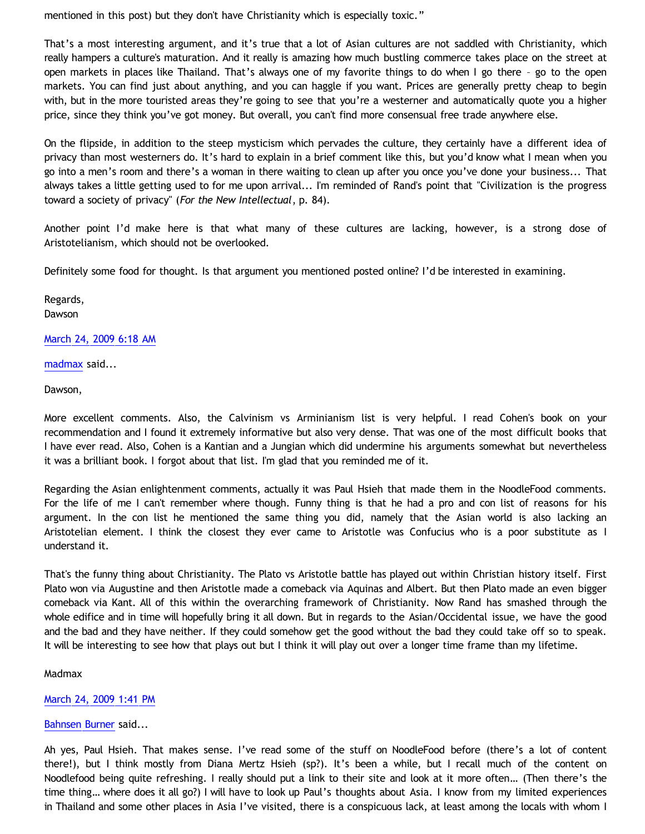mentioned in this post) but they don't have Christianity which is especially toxic."

That's a most interesting argument, and it's true that a lot of Asian cultures are not saddled with Christianity, which really hampers a culture's maturation. And it really is amazing how much bustling commerce takes place on the street at open markets in places like Thailand. That's always one of my favorite things to do when I go there – go to the open markets. You can find just about anything, and you can haggle if you want. Prices are generally pretty cheap to begin with, but in the more touristed areas they're going to see that you're a westerner and automatically quote you a higher price, since they think you've got money. But overall, you can't find more consensual free trade anywhere else.

On the flipside, in addition to the steep mysticism which pervades the culture, they certainly have a different idea of privacy than most westerners do. It's hard to explain in a brief comment like this, but you'd know what I mean when you go into a men's room and there's a woman in there waiting to clean up after you once you've done your business... That always takes a little getting used to for me upon arrival... I'm reminded of Rand's point that "Civilization is the progress toward a society of privacy" (*For the New Intellectual*, p. 84).

Another point I'd make here is that what many of these cultures are lacking, however, is a strong dose of Aristotelianism, which should not be overlooked.

Definitely some food for thought. Is that argument you mentioned posted online? I'd be interested in examining.

Regards, Dawson

[March 24, 2009 6:18 AM](http://bahnsenburner.blogspot.com/2009/03/3607518985023323135)

[madmax](http://www.blogger.com/profile/14375140131881725965) said...

Dawson,

More excellent comments. Also, the Calvinism vs Arminianism list is very helpful. I read Cohen's book on your recommendation and I found it extremely informative but also very dense. That was one of the most difficult books that I have ever read. Also, Cohen is a Kantian and a Jungian which did undermine his arguments somewhat but nevertheless it was a brilliant book. I forgot about that list. I'm glad that you reminded me of it.

Regarding the Asian enlightenment comments, actually it was Paul Hsieh that made them in the NoodleFood comments. For the life of me I can't remember where though. Funny thing is that he had a pro and con list of reasons for his argument. In the con list he mentioned the same thing you did, namely that the Asian world is also lacking an Aristotelian element. I think the closest they ever came to Aristotle was Confucius who is a poor substitute as I understand it.

That's the funny thing about Christianity. The Plato vs Aristotle battle has played out within Christian history itself. First Plato won via Augustine and then Aristotle made a comeback via Aquinas and Albert. But then Plato made an even bigger comeback via Kant. All of this within the overarching framework of Christianity. Now Rand has smashed through the whole edifice and in time will hopefully bring it all down. But in regards to the Asian/Occidental issue, we have the good and the bad and they have neither. If they could somehow get the good without the bad they could take off so to speak. It will be interesting to see how that plays out but I think it will play out over a longer time frame than my lifetime.

Madmax

[March 24, 2009 1:41 PM](http://bahnsenburner.blogspot.com/2009/03/3520900088639743762)

[Bahnsen Burner](http://www.blogger.com/profile/11030029491768748360) said...

Ah yes, Paul Hsieh. That makes sense. I've read some of the stuff on NoodleFood before (there's a lot of content there!), but I think mostly from Diana Mertz Hsieh (sp?). It's been a while, but I recall much of the content on Noodlefood being quite refreshing. I really should put a link to their site and look at it more often… (Then there's the time thing… where does it all go?) I will have to look up Paul's thoughts about Asia. I know from my limited experiences in Thailand and some other places in Asia I've visited, there is a conspicuous lack, at least among the locals with whom I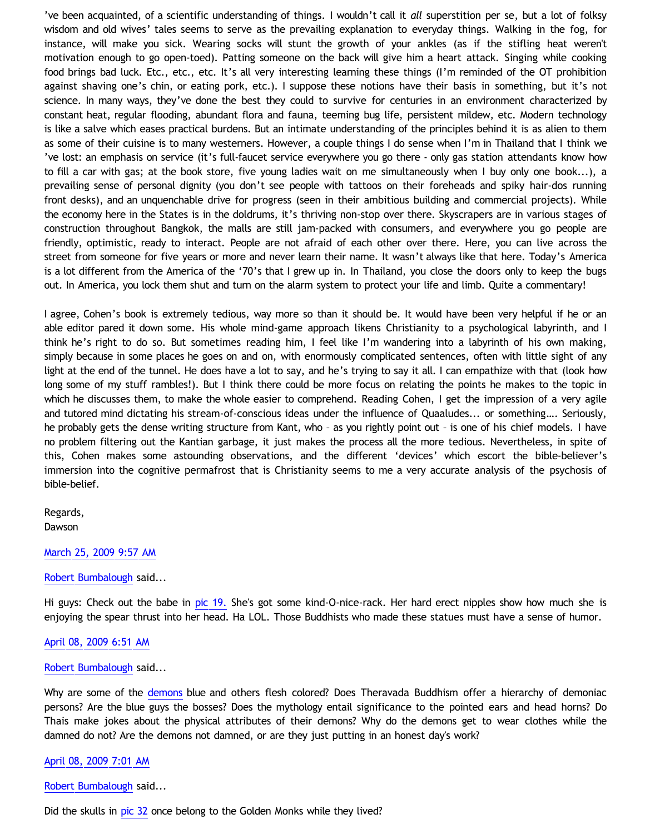've been acquainted, of a scientific understanding of things. I wouldn't call it *all* superstition per se, but a lot of folksy wisdom and old wives' tales seems to serve as the prevailing explanation to everyday things. Walking in the fog, for instance, will make you sick. Wearing socks will stunt the growth of your ankles (as if the stifling heat weren't motivation enough to go open-toed). Patting someone on the back will give him a heart attack. Singing while cooking food brings bad luck. Etc., etc., etc. It's all very interesting learning these things (I'm reminded of the OT prohibition against shaving one's chin, or eating pork, etc.). I suppose these notions have their basis in something, but it's not science. In many ways, they've done the best they could to survive for centuries in an environment characterized by constant heat, regular flooding, abundant flora and fauna, teeming bug life, persistent mildew, etc. Modern technology is like a salve which eases practical burdens. But an intimate understanding of the principles behind it is as alien to them as some of their cuisine is to many westerners. However, a couple things I do sense when I'm in Thailand that I think we 've lost: an emphasis on service (it's full-faucet service everywhere you go there - only gas station attendants know how to fill a car with gas; at the book store, five young ladies wait on me simultaneously when I buy only one book...), a prevailing sense of personal dignity (you don't see people with tattoos on their foreheads and spiky hair-dos running front desks), and an unquenchable drive for progress (seen in their ambitious building and commercial projects). While the economy here in the States is in the doldrums, it's thriving non-stop over there. Skyscrapers are in various stages of construction throughout Bangkok, the malls are still jam-packed with consumers, and everywhere you go people are friendly, optimistic, ready to interact. People are not afraid of each other over there. Here, you can live across the street from someone for five years or more and never learn their name. It wasn't always like that here. Today's America is a lot different from the America of the '70's that I grew up in. In Thailand, you close the doors only to keep the bugs out. In America, you lock them shut and turn on the alarm system to protect your life and limb. Quite a commentary!

I agree, Cohen's book is extremely tedious, way more so than it should be. It would have been very helpful if he or an able editor pared it down some. His whole mind-game approach likens Christianity to a psychological labyrinth, and I think he's right to do so. But sometimes reading him, I feel like I'm wandering into a labyrinth of his own making, simply because in some places he goes on and on, with enormously complicated sentences, often with little sight of any light at the end of the tunnel. He does have a lot to say, and he's trying to say it all. I can empathize with that (look how long some of my stuff rambles!). But I think there could be more focus on relating the points he makes to the topic in which he discusses them, to make the whole easier to comprehend. Reading Cohen, I get the impression of a very agile and tutored mind dictating his stream-of-conscious ideas under the influence of Quaaludes... or something…. Seriously, he probably gets the dense writing structure from Kant, who – as you rightly point out – is one of his chief models. I have no problem filtering out the Kantian garbage, it just makes the process all the more tedious. Nevertheless, in spite of this, Cohen makes some astounding observations, and the different 'devices' which escort the bible-believer's immersion into the cognitive permafrost that is Christianity seems to me a very accurate analysis of the psychosis of bible-belief.

Regards, Dawson

#### [March 25, 2009 9:57 AM](http://bahnsenburner.blogspot.com/2009/03/3933150207718080253)

#### [Robert Bumbalough](http://www.blogger.com/profile/03469718358131331499) said...

Hi guys: Check out the babe in [pic 19.](http://www.geocities.com/watphairongwua/IMG_4712.JPG) She's got some kind-O-nice-rack. Her hard erect nipples show how much she is enjoying the spear thrust into her head. Ha LOL. Those Buddhists who made these statues must have a sense of humor.

[April 08, 2009 6:51 AM](http://bahnsenburner.blogspot.com/2009/03/5833955435645863365)

## [Robert Bumbalough](http://www.blogger.com/profile/03469718358131331499) said...

Why are some of the [demons](http://www.geocities.com/watphairongwua/IMG_4719.JPG) blue and others flesh colored? Does Theravada Buddhism offer a hierarchy of demoniac persons? Are the blue guys the bosses? Does the mythology entail significance to the pointed ears and head horns? Do Thais make jokes about the physical attributes of their demons? Why do the demons get to wear clothes while the damned do not? Are the demons not damned, or are they just putting in an honest day's work?

## [April 08, 2009 7:01 AM](http://bahnsenburner.blogspot.com/2009/03/128044788069793244)

[Robert Bumbalough](http://www.blogger.com/profile/03469718358131331499) said...

Did the skulls in [pic 32](http://www.geocities.com/watphairongwua/IMG_4728.JPG) once belong to the Golden Monks while they lived?